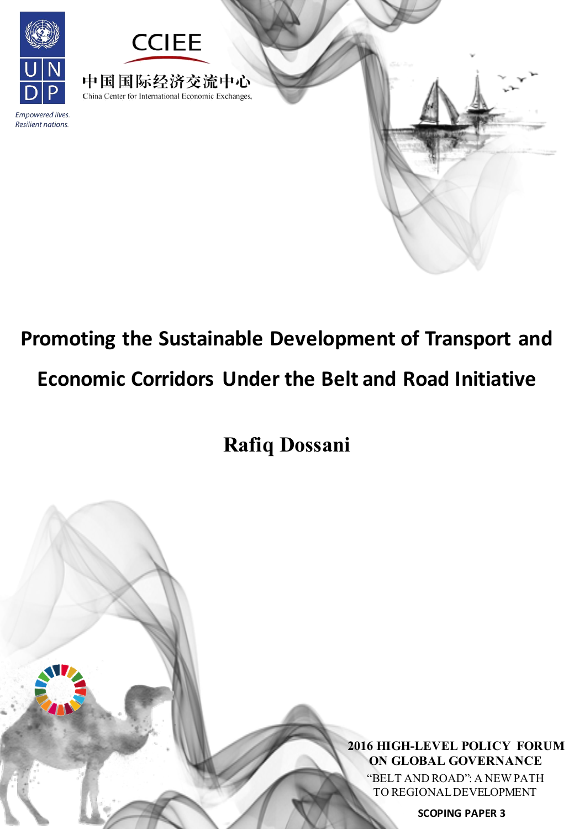

# **Promoting the Sustainable Development of Transport and Economic Corridors Under the Belt and Road Initiative**

**Rafiq Dossani**

**2016 HIGH-LEVEL POLICY FORUM ON GLOBAL GOVERNANCE**

"BELT AND ROAD": A NEWPATH TO REGIONALDEVELOPMENT

**SCOPING PAPER 3**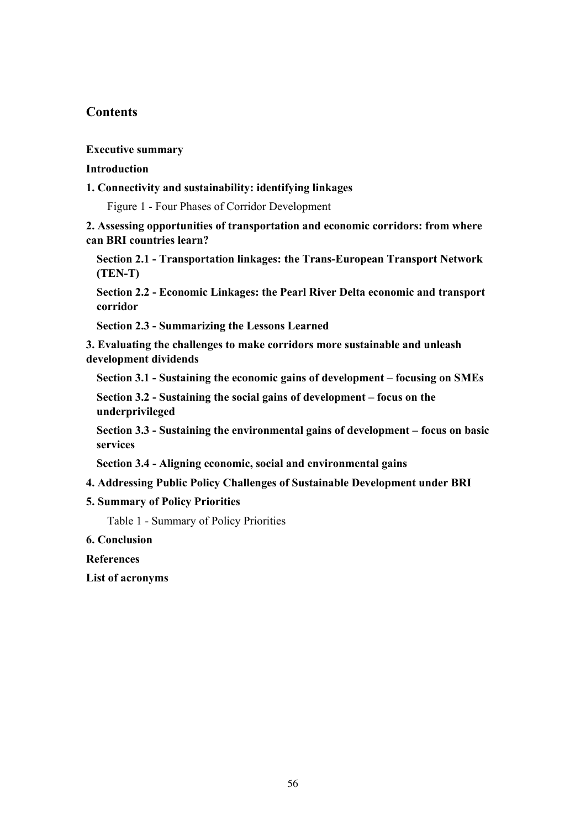# **Contents**

#### **Executive summary**

#### **Introduction**

#### **1. Connectivity and sustainability: identifying linkages**

Figure 1 - Four Phases of Corridor Development

**2. Assessing opportunities of transportation and economic corridors: from where can BRI countries learn?** 

**Section 2.1 - Transportation linkages: the Trans-European Transport Network (TEN-T)** 

**Section 2.2 - Economic Linkages: the Pearl River Delta economic and transport corridor** 

**Section 2.3 - Summarizing the Lessons Learned** 

**3. Evaluating the challenges to make corridors more sustainable and unleash development dividends** 

**Section 3.1 - Sustaining the economic gains of development – focusing on SMEs** 

**Section 3.2 - Sustaining the social gains of development – focus on the underprivileged** 

**Section 3.3 - Sustaining the environmental gains of development – focus on basic services** 

**Section 3.4 - Aligning economic, social and environmental gains** 

#### **4. Addressing Public Policy Challenges of Sustainable Development under BRI**

#### **5. Summary of Policy Priorities**

Table 1 - Summary of Policy Priorities

**6. Conclusion** 

**References** 

**List of acronyms**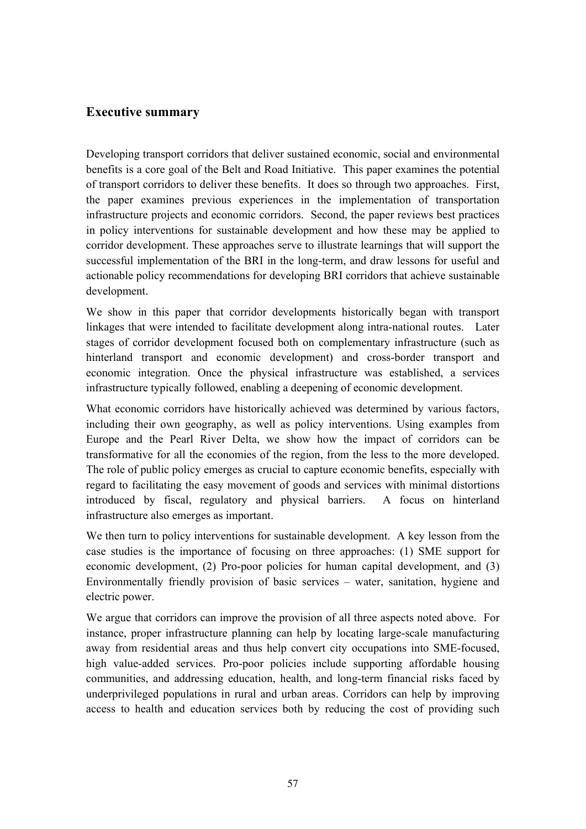# **Executive summary**

Developing transport corridors that deliver sustained economic, social and environmental benefits is a core goal of the Belt and Road Initiative. This paper examines the potential of transport corridors to deliver these benefits. It does so through two approaches. First, the paper examines previous experiences in the implementation of transportation infrastructure projects and economic corridors. Second, the paper reviews best practices in policy interventions for sustainable development and how these may be applied to corridor development. These approaches serve to illustrate learnings that will support the successful implementation of the BRI in the long-term, and draw lessons for useful and actionable policy recommendations for developing BRI corridors that achieve sustainable development.

We show in this paper that corridor developments historically began with transport linkages that were intended to facilitate development along intra-national routes. Later stages of corridor development focused both on complementary infrastructure (such as hinterland transport and economic development) and cross-border transport and economic integration. Once the physical infrastructure was established, a services infrastructure typically followed, enabling a deepening of economic development.

What economic corridors have historically achieved was determined by various factors, including their own geography, as well as policy interventions. Using examples from Europe and the Pearl River Delta, we show how the impact of corridors can be transformative for all the economies of the region, from the less to the more developed. The role of public policy emerges as crucial to capture economic benefits, especially with regard to facilitating the easy movement of goods and services with minimal distortions introduced by fiscal, regulatory and physical barriers. A focus on hinterland infrastructure also emerges as important.

We then turn to policy interventions for sustainable development. A key lesson from the case studies is the importance of focusing on three approaches: (1) SME support for economic development, (2) Pro-poor policies for human capital development, and (3) Environmentally friendly provision of basic services – water, sanitation, hygiene and electric power.

We argue that corridors can improve the provision of all three aspects noted above. For instance, proper infrastructure planning can help by locating large-scale manufacturing away from residential areas and thus help convert city occupations into SME-focused, high value-added services. Pro-poor policies include supporting affordable housing communities, and addressing education, health, and long-term financial risks faced by underprivileged populations in rural and urban areas. Corridors can help by improving access to health and education services both by reducing the cost of providing such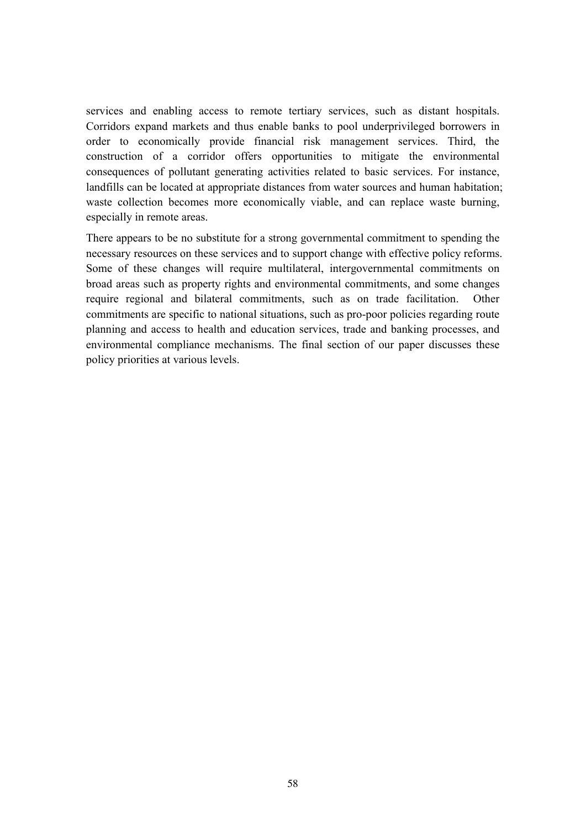services and enabling access to remote tertiary services, such as distant hospitals. Corridors expand markets and thus enable banks to pool underprivileged borrowers in order to economically provide financial risk management services. Third, the construction of a corridor offers opportunities to mitigate the environmental consequences of pollutant generating activities related to basic services. For instance, landfills can be located at appropriate distances from water sources and human habitation; waste collection becomes more economically viable, and can replace waste burning, especially in remote areas.

There appears to be no substitute for a strong governmental commitment to spending the necessary resources on these services and to support change with effective policy reforms. Some of these changes will require multilateral, intergovernmental commitments on broad areas such as property rights and environmental commitments, and some changes require regional and bilateral commitments, such as on trade facilitation. Other commitments are specific to national situations, such as pro-poor policies regarding route planning and access to health and education services, trade and banking processes, and environmental compliance mechanisms. The final section of our paper discusses these policy priorities at various levels.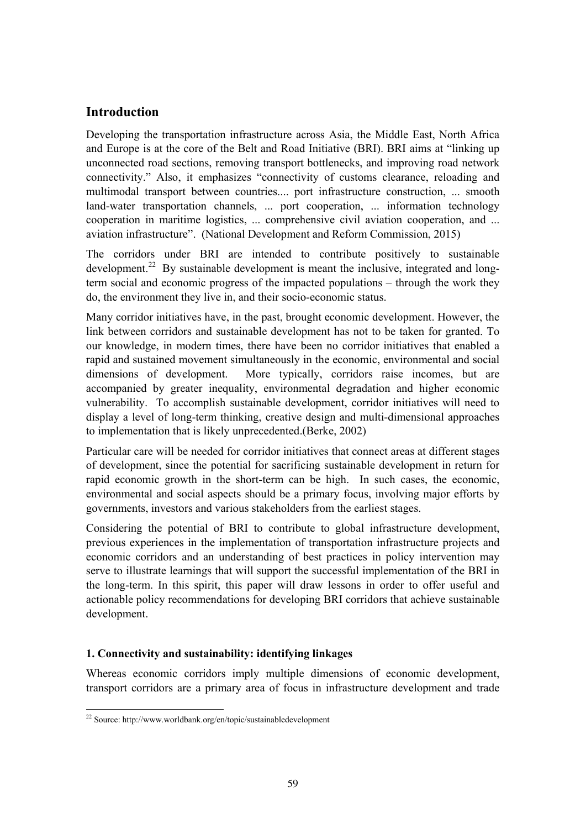# **Introduction**

Developing the transportation infrastructure across Asia, the Middle East, North Africa and Europe is at the core of the Belt and Road Initiative (BRI). BRI aims at "linking up unconnected road sections, removing transport bottlenecks, and improving road network connectivity." Also, it emphasizes "connectivity of customs clearance, reloading and multimodal transport between countries.... port infrastructure construction, ... smooth land-water transportation channels, ... port cooperation, ... information technology cooperation in maritime logistics, ... comprehensive civil aviation cooperation, and ... aviation infrastructure". (National Development and Reform Commission, 2015)

The corridors under BRI are intended to contribute positively to sustainable development.<sup>22</sup> By sustainable development is meant the inclusive, integrated and longterm social and economic progress of the impacted populations – through the work they do, the environment they live in, and their socio-economic status.

Many corridor initiatives have, in the past, brought economic development. However, the link between corridors and sustainable development has not to be taken for granted. To our knowledge, in modern times, there have been no corridor initiatives that enabled a rapid and sustained movement simultaneously in the economic, environmental and social dimensions of development. More typically, corridors raise incomes, but are accompanied by greater inequality, environmental degradation and higher economic vulnerability. To accomplish sustainable development, corridor initiatives will need to display a level of long-term thinking, creative design and multi-dimensional approaches to implementation that is likely unprecedented.(Berke, 2002)

Particular care will be needed for corridor initiatives that connect areas at different stages of development, since the potential for sacrificing sustainable development in return for rapid economic growth in the short-term can be high. In such cases, the economic, environmental and social aspects should be a primary focus, involving major efforts by governments, investors and various stakeholders from the earliest stages.

Considering the potential of BRI to contribute to global infrastructure development, previous experiences in the implementation of transportation infrastructure projects and economic corridors and an understanding of best practices in policy intervention may serve to illustrate learnings that will support the successful implementation of the BRI in the long-term. In this spirit, this paper will draw lessons in order to offer useful and actionable policy recommendations for developing BRI corridors that achieve sustainable development.

# **1. Connectivity and sustainability: identifying linkages**

Whereas economic corridors imply multiple dimensions of economic development, transport corridors are a primary area of focus in infrastructure development and trade

  $^{22}$  Source: http://www.worldbank.org/en/topic/sustainabledevelopment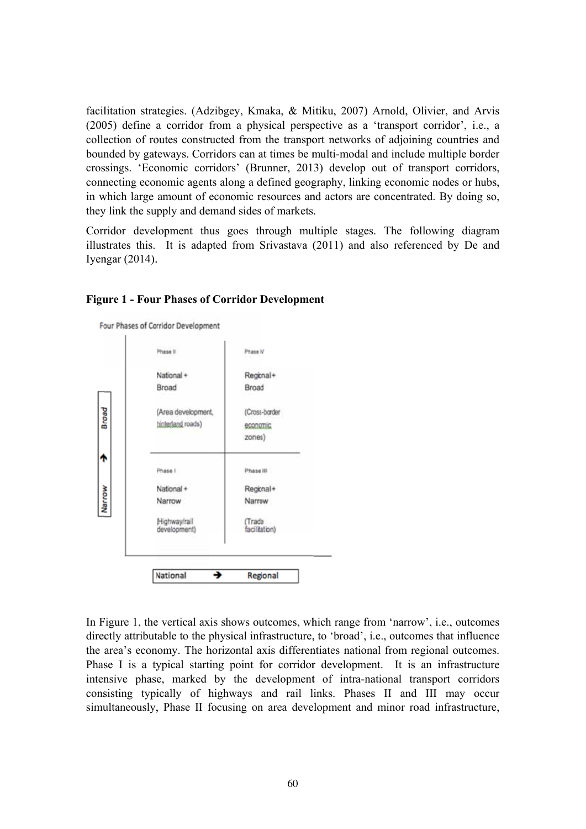facilitation strategies. (Adzibgey, Kmaka, & Mitiku, 2007) Arnold, Olivier, and Arvis (2005) define a corridor from a physical perspective as a 'transport corridor', i.e., a collection of routes constructed from the transport networks of adjoining countries and bounded by gateways. Corridors can at times be multi-modal and include multiple border crossings. 'Economic corridors' (Brunner, 2013) develop out of transport corridors, connecting economic agents along a defined geography, linking economic nodes or hubs, in which large amount of economic resources and actors are concentrated. By doing so, they link the supply and demand sides of markets.

Corridor development thus goes through multiple stages. The following diagram illustrates this. It is adapted from Srivastava (2011) and also referenced by De and Iyengar (2014).



#### **Figure 1 - Four Phases of Corridor Development**

In Figure 1, the vertical axis shows outcomes, which range from 'narrow', i.e., outcomes directly attributable to the physical infrastructure, to 'broad', i.e., outcomes that influence the area's economy. The horizontal axis differentiates national from regional outcomes. Phase I is a typical starting point for corridor development. It is an infrastructure intensive phase, marked by the development of intra-national transport corridors consisting typically of highways and rail links. Phases II and III may occur simultaneously, Phase II focusing on area development and minor road infrastructure,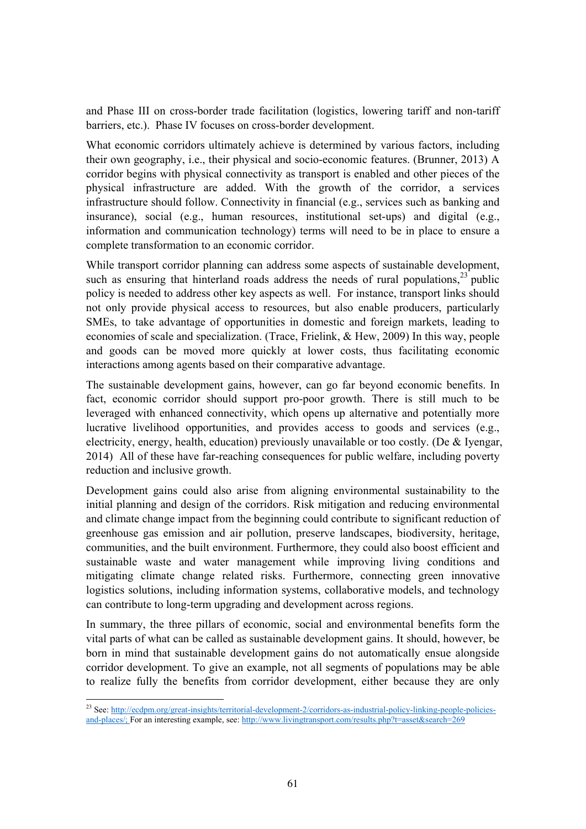and Phase III on cross-border trade facilitation (logistics, lowering tariff and non-tariff barriers, etc.). Phase IV focuses on cross-border development.

What economic corridors ultimately achieve is determined by various factors, including their own geography, i.e., their physical and socio-economic features. (Brunner, 2013) A corridor begins with physical connectivity as transport is enabled and other pieces of the physical infrastructure are added. With the growth of the corridor, a services infrastructure should follow. Connectivity in financial (e.g., services such as banking and insurance), social (e.g., human resources, institutional set-ups) and digital (e.g., information and communication technology) terms will need to be in place to ensure a complete transformation to an economic corridor.

While transport corridor planning can address some aspects of sustainable development, such as ensuring that hinterland roads address the needs of rural populations.<sup>23</sup> public policy is needed to address other key aspects as well. For instance, transport links should not only provide physical access to resources, but also enable producers, particularly SMEs, to take advantage of opportunities in domestic and foreign markets, leading to economies of scale and specialization. (Trace, Frielink, & Hew, 2009) In this way, people and goods can be moved more quickly at lower costs, thus facilitating economic interactions among agents based on their comparative advantage.

The sustainable development gains, however, can go far beyond economic benefits. In fact, economic corridor should support pro-poor growth. There is still much to be leveraged with enhanced connectivity, which opens up alternative and potentially more lucrative livelihood opportunities, and provides access to goods and services (e.g., electricity, energy, health, education) previously unavailable or too costly. (De & Iyengar, 2014) All of these have far-reaching consequences for public welfare, including poverty reduction and inclusive growth.

Development gains could also arise from aligning environmental sustainability to the initial planning and design of the corridors. Risk mitigation and reducing environmental and climate change impact from the beginning could contribute to significant reduction of greenhouse gas emission and air pollution, preserve landscapes, biodiversity, heritage, communities, and the built environment. Furthermore, they could also boost efficient and sustainable waste and water management while improving living conditions and mitigating climate change related risks. Furthermore, connecting green innovative logistics solutions, including information systems, collaborative models, and technology can contribute to long-term upgrading and development across regions.

In summary, the three pillars of economic, social and environmental benefits form the vital parts of what can be called as sustainable development gains. It should, however, be born in mind that sustainable development gains do not automatically ensue alongside corridor development. To give an example, not all segments of populations may be able to realize fully the benefits from corridor development, either because they are only

 <sup>23</sup> See: http://ecdpm.org/great-insights/territorial-development-2/corridors-as-industrial-policy-linking-people-policiesand-places/; For an interesting example, see: http://www.livingtransport.com/results.php?t=asset&search=269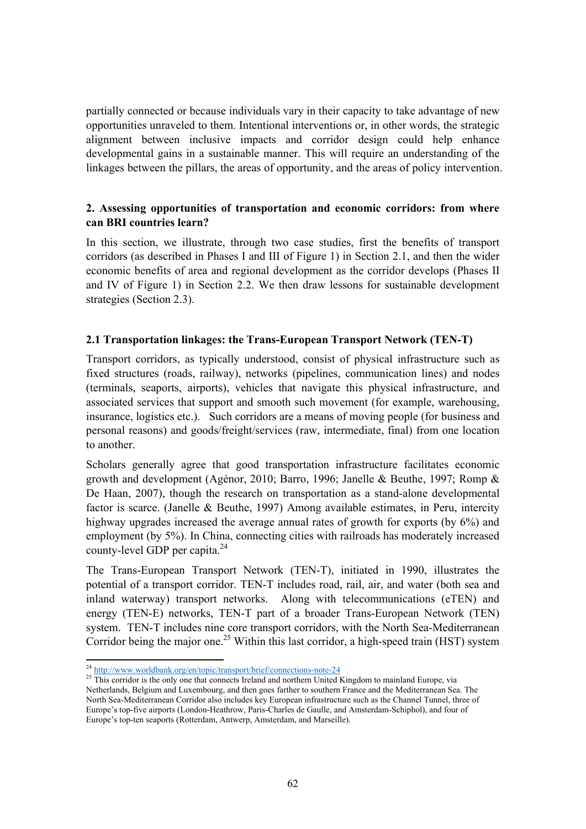partially connected or because individuals vary in their capacity to take advantage of new opportunities unraveled to them. Intentional interventions or, in other words, the strategic alignment between inclusive impacts and corridor design could help enhance developmental gains in a sustainable manner. This will require an understanding of the linkages between the pillars, the areas of opportunity, and the areas of policy intervention.

#### **2. Assessing opportunities of transportation and economic corridors: from where can BRI countries learn?**

In this section, we illustrate, through two case studies, first the benefits of transport corridors (as described in Phases I and III of Figure 1) in Section 2.1, and then the wider economic benefits of area and regional development as the corridor develops (Phases II and IV of Figure 1) in Section 2.2. We then draw lessons for sustainable development strategies (Section 2.3).

# **2.1 Transportation linkages: the Trans-European Transport Network (TEN-T)**

Transport corridors, as typically understood, consist of physical infrastructure such as fixed structures (roads, railway), networks (pipelines, communication lines) and nodes (terminals, seaports, airports), vehicles that navigate this physical infrastructure, and associated services that support and smooth such movement (for example, warehousing, insurance, logistics etc.). Such corridors are a means of moving people (for business and personal reasons) and goods/freight/services (raw, intermediate, final) from one location to another.

Scholars generally agree that good transportation infrastructure facilitates economic growth and development (Agénor, 2010; Barro, 1996; Janelle & Beuthe, 1997; Romp & De Haan, 2007), though the research on transportation as a stand-alone developmental factor is scarce. (Janelle & Beuthe, 1997) Among available estimates, in Peru, intercity highway upgrades increased the average annual rates of growth for exports (by 6%) and employment (by 5%). In China, connecting cities with railroads has moderately increased county-level GDP per capita. $^{24}$ 

The Trans-European Transport Network (TEN-T), initiated in 1990, illustrates the potential of a transport corridor. TEN-T includes road, rail, air, and water (both sea and inland waterway) transport networks. Along with telecommunications (eTEN) and energy (TEN-E) networks, TEN-T part of a broader Trans-European Network (TEN) system. TEN-T includes nine core transport corridors, with the North Sea-Mediterranean Corridor being the major one.<sup>25</sup> Within this last corridor, a high-speed train (HST) system

<sup>&</sup>lt;sup>24</sup> http://www.worldbank.org/en/topic/transport/brief/connections-note-24

 $25$  This corridor is the only one that connects Ireland and northern United Kingdom to mainland Europe, via Netherlands, Belgium and Luxembourg, and then goes farther to southern France and the Mediterranean Sea. The North Sea-Mediterranean Corridor also includes key European infrastructure such as the Channel Tunnel, three of Europe's top-five airports (London-Heathrow, Paris-Charles de Gaulle, and Amsterdam-Schiphol), and four of Europe's top-ten seaports (Rotterdam, Antwerp, Amsterdam, and Marseille).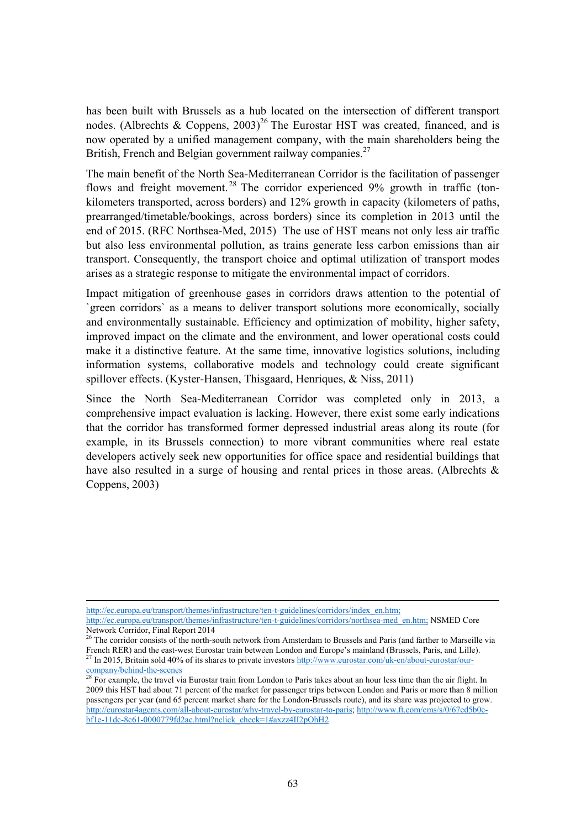has been built with Brussels as a hub located on the intersection of different transport nodes. (Albrechts & Coppens,  $2003$ )<sup>26</sup> The Eurostar HST was created, financed, and is now operated by a unified management company, with the main shareholders being the British, French and Belgian government railway companies.<sup>27</sup>

The main benefit of the North Sea-Mediterranean Corridor is the facilitation of passenger flows and freight movement.<sup>28</sup> The corridor experienced  $9\%$  growth in traffic (tonkilometers transported, across borders) and 12% growth in capacity (kilometers of paths, prearranged/timetable/bookings, across borders) since its completion in 2013 until the end of 2015. (RFC Northsea-Med, 2015) The use of HST means not only less air traffic but also less environmental pollution, as trains generate less carbon emissions than air transport. Consequently, the transport choice and optimal utilization of transport modes arises as a strategic response to mitigate the environmental impact of corridors.

Impact mitigation of greenhouse gases in corridors draws attention to the potential of `green corridors` as a means to deliver transport solutions more economically, socially and environmentally sustainable. Efficiency and optimization of mobility, higher safety, improved impact on the climate and the environment, and lower operational costs could make it a distinctive feature. At the same time, innovative logistics solutions, including information systems, collaborative models and technology could create significant spillover effects. (Kyster-Hansen, Thisgaard, Henriques, & Niss, 2011)

Since the North Sea-Mediterranean Corridor was completed only in 2013, a comprehensive impact evaluation is lacking. However, there exist some early indications that the corridor has transformed former depressed industrial areas along its route (for example, in its Brussels connection) to more vibrant communities where real estate developers actively seek new opportunities for office space and residential buildings that have also resulted in a surge of housing and rental prices in those areas. (Albrechts & Coppens, 2003)

<u> 1989 - Johann Stoff, amerikansk politiker (d. 1989)</u> http://ec.europa.eu/transport/themes/infrastructure/ten-t-guidelines/corridors/index\_en.htm;

http://ec.europa.eu/transport/themes/infrastructure/ten-t-guidelines/corridors/northsea-med\_en.htm; NSMED Core Network Corridor, Final Report 2014

<sup>&</sup>lt;sup>26</sup> The corridor consists of the north-south network from Amsterdam to Brussels and Paris (and farther to Marseille via French RER) and the east-west Eurostar train between London and Europe's mainland (Brussels, Paris, and Lille).<br><sup>27</sup> In 2015, Britain sold 40% of its shares to private investors http://www.eurostar.com/uk-en/about-eurosta

For example, the travel via Eurostar train from London to Paris takes about an hour less time than the air flight. In 2009 this HST had about 71 percent of the market for passenger trips between London and Paris or more than 8 million passengers per year (and 65 percent market share for the London-Brussels route), and its share was projected to grow. http://eurostar4agents.com/all-about-eurostar/why-travel-by-eurostar-to-paris; http://www.ft.com/cms/s/0/67ed5b0cbf1e-11dc-8c61-0000779fd2ac.html?nclick\_check=1#axzz4II2pOhH2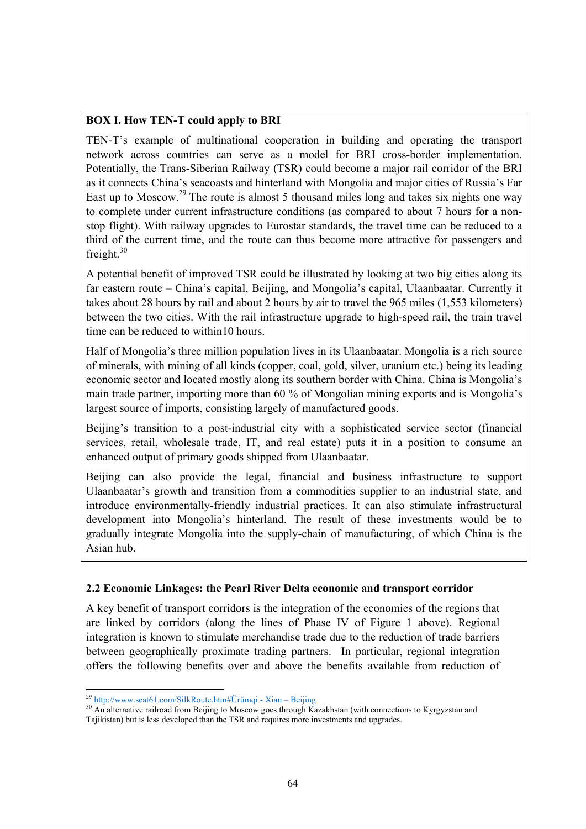# **BOX I. How TEN-T could apply to BRI**

TEN-T's example of multinational cooperation in building and operating the transport network across countries can serve as a model for BRI cross-border implementation. Potentially, the Trans-Siberian Railway (TSR) could become a major rail corridor of the BRI as it connects China's seacoasts and hinterland with Mongolia and major cities of Russia's Far East up to Moscow.<sup>29</sup> The route is almost 5 thousand miles long and takes six nights one way to complete under current infrastructure conditions (as compared to about 7 hours for a nonstop flight). With railway upgrades to Eurostar standards, the travel time can be reduced to a third of the current time, and the route can thus become more attractive for passengers and freight. $30$ 

A potential benefit of improved TSR could be illustrated by looking at two big cities along its far eastern route – China's capital, Beijing, and Mongolia's capital, Ulaanbaatar. Currently it takes about 28 hours by rail and about 2 hours by air to travel the 965 miles (1,553 kilometers) between the two cities. With the rail infrastructure upgrade to high-speed rail, the train travel time can be reduced to within10 hours.

Half of Mongolia's three million population lives in its Ulaanbaatar. Mongolia is a rich source of minerals, with mining of all kinds (copper, coal, gold, silver, uranium etc.) being its leading economic sector and located mostly along its southern border with China. China is Mongolia's main trade partner, importing more than 60 % of Mongolian mining exports and is Mongolia's largest source of imports, consisting largely of manufactured goods.

Beijing's transition to a post-industrial city with a sophisticated service sector (financial services, retail, wholesale trade, IT, and real estate) puts it in a position to consume an enhanced output of primary goods shipped from Ulaanbaatar.

Beijing can also provide the legal, financial and business infrastructure to support Ulaanbaatar's growth and transition from a commodities supplier to an industrial state, and introduce environmentally-friendly industrial practices. It can also stimulate infrastructural development into Mongolia's hinterland. The result of these investments would be to gradually integrate Mongolia into the supply-chain of manufacturing, of which China is the Asian hub.

# **2.2 Economic Linkages: the Pearl River Delta economic and transport corridor**

A key benefit of transport corridors is the integration of the economies of the regions that are linked by corridors (along the lines of Phase IV of Figure 1 above). Regional integration is known to stimulate merchandise trade due to the reduction of trade barriers between geographically proximate trading partners. In particular, regional integration offers the following benefits over and above the benefits available from reduction of

 $^{29}$  http://www.seat61.com/SilkRoute.htm#Ürümqi - Xian – Beijing

<sup>&</sup>lt;sup>30</sup> An alternative railroad from Beijing to Moscow goes through Kazakhstan (with connections to Kyrgyzstan and Tajikistan) but is less developed than the TSR and requires more investments and upgrades.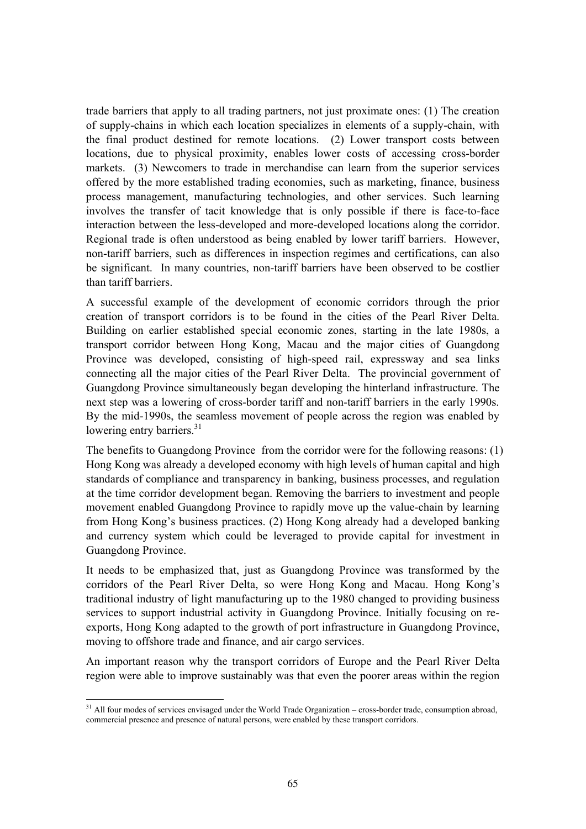trade barriers that apply to all trading partners, not just proximate ones: (1) The creation of supply-chains in which each location specializes in elements of a supply-chain, with the final product destined for remote locations. (2) Lower transport costs between locations, due to physical proximity, enables lower costs of accessing cross-border markets. (3) Newcomers to trade in merchandise can learn from the superior services offered by the more established trading economies, such as marketing, finance, business process management, manufacturing technologies, and other services. Such learning involves the transfer of tacit knowledge that is only possible if there is face-to-face interaction between the less-developed and more-developed locations along the corridor. Regional trade is often understood as being enabled by lower tariff barriers. However, non-tariff barriers, such as differences in inspection regimes and certifications, can also be significant. In many countries, non-tariff barriers have been observed to be costlier than tariff barriers.

A successful example of the development of economic corridors through the prior creation of transport corridors is to be found in the cities of the Pearl River Delta. Building on earlier established special economic zones, starting in the late 1980s, a transport corridor between Hong Kong, Macau and the major cities of Guangdong Province was developed, consisting of high-speed rail, expressway and sea links connecting all the major cities of the Pearl River Delta. The provincial government of Guangdong Province simultaneously began developing the hinterland infrastructure. The next step was a lowering of cross-border tariff and non-tariff barriers in the early 1990s. By the mid-1990s, the seamless movement of people across the region was enabled by lowering entry barriers. $31$ 

The benefits to Guangdong Province from the corridor were for the following reasons: (1) Hong Kong was already a developed economy with high levels of human capital and high standards of compliance and transparency in banking, business processes, and regulation at the time corridor development began. Removing the barriers to investment and people movement enabled Guangdong Province to rapidly move up the value-chain by learning from Hong Kong's business practices. (2) Hong Kong already had a developed banking and currency system which could be leveraged to provide capital for investment in Guangdong Province.

It needs to be emphasized that, just as Guangdong Province was transformed by the corridors of the Pearl River Delta, so were Hong Kong and Macau. Hong Kong's traditional industry of light manufacturing up to the 1980 changed to providing business services to support industrial activity in Guangdong Province. Initially focusing on reexports, Hong Kong adapted to the growth of port infrastructure in Guangdong Province, moving to offshore trade and finance, and air cargo services.

An important reason why the transport corridors of Europe and the Pearl River Delta region were able to improve sustainably was that even the poorer areas within the region

  $31$  All four modes of services envisaged under the World Trade Organization – cross-border trade, consumption abroad, commercial presence and presence of natural persons, were enabled by these transport corridors.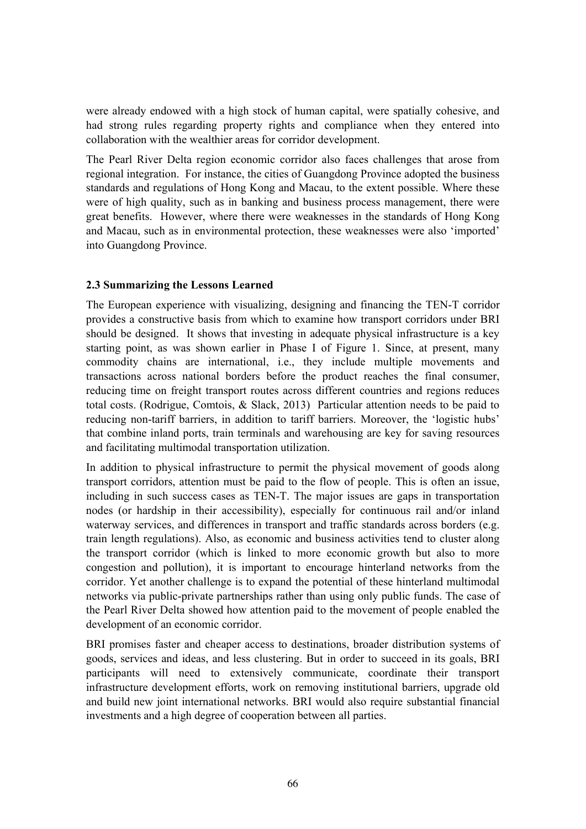were already endowed with a high stock of human capital, were spatially cohesive, and had strong rules regarding property rights and compliance when they entered into collaboration with the wealthier areas for corridor development.

The Pearl River Delta region economic corridor also faces challenges that arose from regional integration. For instance, the cities of Guangdong Province adopted the business standards and regulations of Hong Kong and Macau, to the extent possible. Where these were of high quality, such as in banking and business process management, there were great benefits. However, where there were weaknesses in the standards of Hong Kong and Macau, such as in environmental protection, these weaknesses were also 'imported' into Guangdong Province.

#### **2.3 Summarizing the Lessons Learned**

The European experience with visualizing, designing and financing the TEN-T corridor provides a constructive basis from which to examine how transport corridors under BRI should be designed. It shows that investing in adequate physical infrastructure is a key starting point, as was shown earlier in Phase I of Figure 1. Since, at present, many commodity chains are international, i.e., they include multiple movements and transactions across national borders before the product reaches the final consumer, reducing time on freight transport routes across different countries and regions reduces total costs. (Rodrigue, Comtois, & Slack, 2013) Particular attention needs to be paid to reducing non-tariff barriers, in addition to tariff barriers. Moreover, the 'logistic hubs' that combine inland ports, train terminals and warehousing are key for saving resources and facilitating multimodal transportation utilization.

In addition to physical infrastructure to permit the physical movement of goods along transport corridors, attention must be paid to the flow of people. This is often an issue, including in such success cases as TEN-T. The major issues are gaps in transportation nodes (or hardship in their accessibility), especially for continuous rail and/or inland waterway services, and differences in transport and traffic standards across borders (e.g. train length regulations). Also, as economic and business activities tend to cluster along the transport corridor (which is linked to more economic growth but also to more congestion and pollution), it is important to encourage hinterland networks from the corridor. Yet another challenge is to expand the potential of these hinterland multimodal networks via public-private partnerships rather than using only public funds. The case of the Pearl River Delta showed how attention paid to the movement of people enabled the development of an economic corridor.

BRI promises faster and cheaper access to destinations, broader distribution systems of goods, services and ideas, and less clustering. But in order to succeed in its goals, BRI participants will need to extensively communicate, coordinate their transport infrastructure development efforts, work on removing institutional barriers, upgrade old and build new joint international networks. BRI would also require substantial financial investments and a high degree of cooperation between all parties.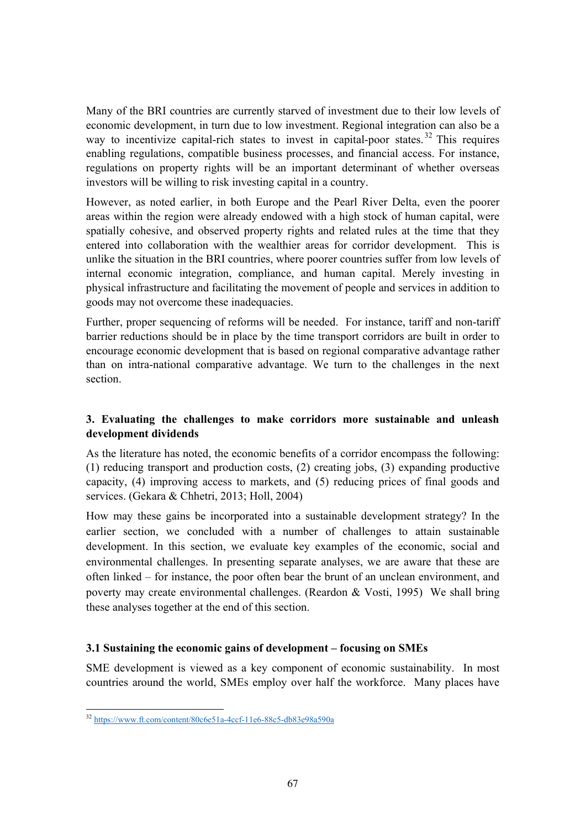Many of the BRI countries are currently starved of investment due to their low levels of economic development, in turn due to low investment. Regional integration can also be a way to incentivize capital-rich states to invest in capital-poor states.<sup>32</sup> This requires enabling regulations, compatible business processes, and financial access. For instance, regulations on property rights will be an important determinant of whether overseas investors will be willing to risk investing capital in a country.

However, as noted earlier, in both Europe and the Pearl River Delta, even the poorer areas within the region were already endowed with a high stock of human capital, were spatially cohesive, and observed property rights and related rules at the time that they entered into collaboration with the wealthier areas for corridor development. This is unlike the situation in the BRI countries, where poorer countries suffer from low levels of internal economic integration, compliance, and human capital. Merely investing in physical infrastructure and facilitating the movement of people and services in addition to goods may not overcome these inadequacies.

Further, proper sequencing of reforms will be needed. For instance, tariff and non-tariff barrier reductions should be in place by the time transport corridors are built in order to encourage economic development that is based on regional comparative advantage rather than on intra-national comparative advantage. We turn to the challenges in the next section.

# **3. Evaluating the challenges to make corridors more sustainable and unleash development dividends**

As the literature has noted, the economic benefits of a corridor encompass the following: (1) reducing transport and production costs, (2) creating jobs, (3) expanding productive capacity, (4) improving access to markets, and (5) reducing prices of final goods and services. (Gekara & Chhetri, 2013; Holl, 2004)

How may these gains be incorporated into a sustainable development strategy? In the earlier section, we concluded with a number of challenges to attain sustainable development. In this section, we evaluate key examples of the economic, social and environmental challenges. In presenting separate analyses, we are aware that these are often linked – for instance, the poor often bear the brunt of an unclean environment, and poverty may create environmental challenges. (Reardon & Vosti, 1995) We shall bring these analyses together at the end of this section.

# **3.1 Sustaining the economic gains of development – focusing on SMEs**

SME development is viewed as a key component of economic sustainability. In most countries around the world, SMEs employ over half the workforce. Many places have

 <sup>32</sup> https://www.ft.com/content/80c6e51a-4ccf-11e6-88c5-db83e98a590a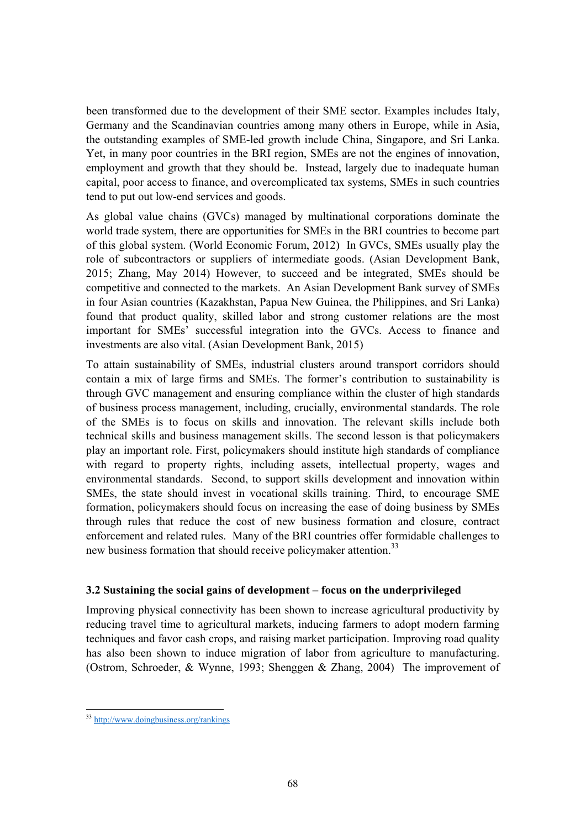been transformed due to the development of their SME sector. Examples includes Italy, Germany and the Scandinavian countries among many others in Europe, while in Asia, the outstanding examples of SME-led growth include China, Singapore, and Sri Lanka. Yet, in many poor countries in the BRI region, SMEs are not the engines of innovation, employment and growth that they should be. Instead, largely due to inadequate human capital, poor access to finance, and overcomplicated tax systems, SMEs in such countries tend to put out low-end services and goods.

As global value chains (GVCs) managed by multinational corporations dominate the world trade system, there are opportunities for SMEs in the BRI countries to become part of this global system. (World Economic Forum, 2012) In GVCs, SMEs usually play the role of subcontractors or suppliers of intermediate goods. (Asian Development Bank, 2015; Zhang, May 2014) However, to succeed and be integrated, SMEs should be competitive and connected to the markets. An Asian Development Bank survey of SMEs in four Asian countries (Kazakhstan, Papua New Guinea, the Philippines, and Sri Lanka) found that product quality, skilled labor and strong customer relations are the most important for SMEs' successful integration into the GVCs. Access to finance and investments are also vital. (Asian Development Bank, 2015)

To attain sustainability of SMEs, industrial clusters around transport corridors should contain a mix of large firms and SMEs. The former's contribution to sustainability is through GVC management and ensuring compliance within the cluster of high standards of business process management, including, crucially, environmental standards. The role of the SMEs is to focus on skills and innovation. The relevant skills include both technical skills and business management skills. The second lesson is that policymakers play an important role. First, policymakers should institute high standards of compliance with regard to property rights, including assets, intellectual property, wages and environmental standards. Second, to support skills development and innovation within SMEs, the state should invest in vocational skills training. Third, to encourage SME formation, policymakers should focus on increasing the ease of doing business by SMEs through rules that reduce the cost of new business formation and closure, contract enforcement and related rules. Many of the BRI countries offer formidable challenges to new business formation that should receive policymaker attention.<sup>33</sup>

# **3.2 Sustaining the social gains of development – focus on the underprivileged**

Improving physical connectivity has been shown to increase agricultural productivity by reducing travel time to agricultural markets, inducing farmers to adopt modern farming techniques and favor cash crops, and raising market participation. Improving road quality has also been shown to induce migration of labor from agriculture to manufacturing. (Ostrom, Schroeder, & Wynne, 1993; Shenggen & Zhang, 2004) The improvement of

 33 http://www.doingbusiness.org/rankings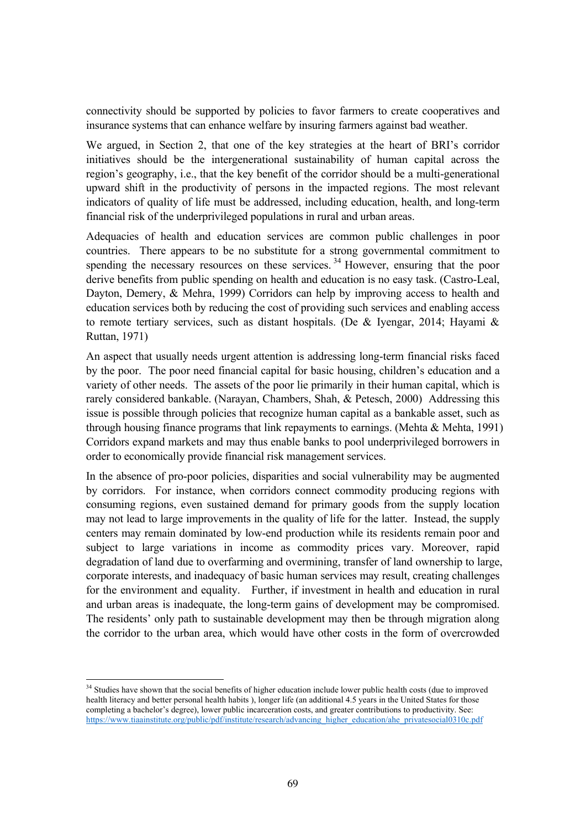connectivity should be supported by policies to favor farmers to create cooperatives and insurance systems that can enhance welfare by insuring farmers against bad weather.

We argued, in Section 2, that one of the key strategies at the heart of BRI's corridor initiatives should be the intergenerational sustainability of human capital across the region's geography, i.e., that the key benefit of the corridor should be a multi-generational upward shift in the productivity of persons in the impacted regions. The most relevant indicators of quality of life must be addressed, including education, health, and long-term financial risk of the underprivileged populations in rural and urban areas.

Adequacies of health and education services are common public challenges in poor countries. There appears to be no substitute for a strong governmental commitment to spending the necessary resources on these services.<sup>34</sup> However, ensuring that the poor derive benefits from public spending on health and education is no easy task. (Castro-Leal, Dayton, Demery, & Mehra, 1999) Corridors can help by improving access to health and education services both by reducing the cost of providing such services and enabling access to remote tertiary services, such as distant hospitals. (De & Iyengar, 2014; Hayami & Ruttan, 1971)

An aspect that usually needs urgent attention is addressing long-term financial risks faced by the poor. The poor need financial capital for basic housing, children's education and a variety of other needs. The assets of the poor lie primarily in their human capital, which is rarely considered bankable. (Narayan, Chambers, Shah, & Petesch, 2000) Addressing this issue is possible through policies that recognize human capital as a bankable asset, such as through housing finance programs that link repayments to earnings. (Mehta & Mehta, 1991) Corridors expand markets and may thus enable banks to pool underprivileged borrowers in order to economically provide financial risk management services.

In the absence of pro-poor policies, disparities and social vulnerability may be augmented by corridors. For instance, when corridors connect commodity producing regions with consuming regions, even sustained demand for primary goods from the supply location may not lead to large improvements in the quality of life for the latter. Instead, the supply centers may remain dominated by low-end production while its residents remain poor and subject to large variations in income as commodity prices vary. Moreover, rapid degradation of land due to overfarming and overmining, transfer of land ownership to large, corporate interests, and inadequacy of basic human services may result, creating challenges for the environment and equality. Further, if investment in health and education in rural and urban areas is inadequate, the long-term gains of development may be compromised. The residents' only path to sustainable development may then be through migration along the corridor to the urban area, which would have other costs in the form of overcrowded

 <sup>34</sup> Studies have shown that the social benefits of higher education include lower public health costs (due to improved health literacy and better personal health habits ), longer life (an additional 4.5 years in the United States for those completing a bachelor's degree), lower public incarceration costs, and greater contributions to productivity. See: https://www.tiaainstitute.org/public/pdf/institute/research/advancing\_higher\_education/ahe\_privatesocial0310c.pdf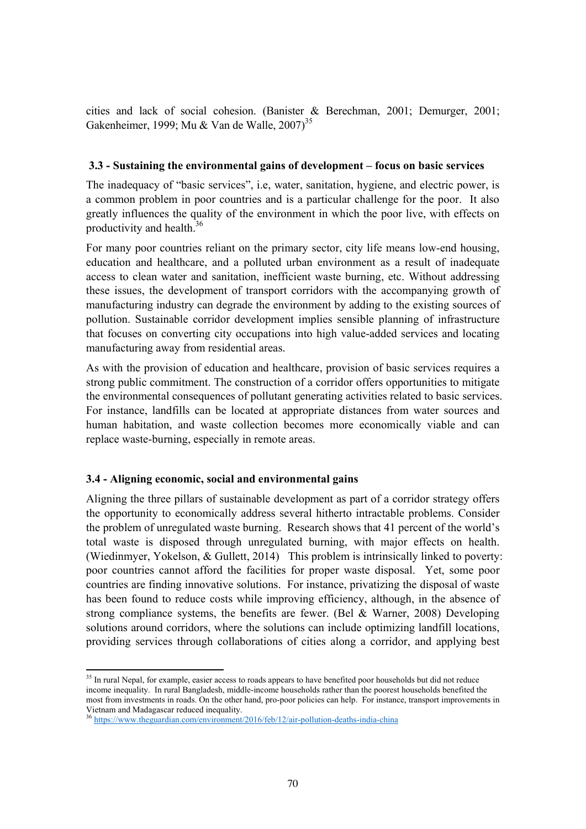cities and lack of social cohesion. (Banister & Berechman, 2001; Demurger, 2001; Gakenheimer, 1999; Mu & Van de Walle,  $2007$ <sup>35</sup>

#### **3.3 - Sustaining the environmental gains of development – focus on basic services**

The inadequacy of "basic services", i.e, water, sanitation, hygiene, and electric power, is a common problem in poor countries and is a particular challenge for the poor. It also greatly influences the quality of the environment in which the poor live, with effects on productivity and health.<sup>36</sup>

For many poor countries reliant on the primary sector, city life means low-end housing, education and healthcare, and a polluted urban environment as a result of inadequate access to clean water and sanitation, inefficient waste burning, etc. Without addressing these issues, the development of transport corridors with the accompanying growth of manufacturing industry can degrade the environment by adding to the existing sources of pollution. Sustainable corridor development implies sensible planning of infrastructure that focuses on converting city occupations into high value-added services and locating manufacturing away from residential areas.

As with the provision of education and healthcare, provision of basic services requires a strong public commitment. The construction of a corridor offers opportunities to mitigate the environmental consequences of pollutant generating activities related to basic services. For instance, landfills can be located at appropriate distances from water sources and human habitation, and waste collection becomes more economically viable and can replace waste-burning, especially in remote areas.

# **3.4 - Aligning economic, social and environmental gains**

Aligning the three pillars of sustainable development as part of a corridor strategy offers the opportunity to economically address several hitherto intractable problems. Consider the problem of unregulated waste burning. Research shows that 41 percent of the world's total waste is disposed through unregulated burning, with major effects on health. (Wiedinmyer, Yokelson, & Gullett, 2014) This problem is intrinsically linked to poverty: poor countries cannot afford the facilities for proper waste disposal. Yet, some poor countries are finding innovative solutions. For instance, privatizing the disposal of waste has been found to reduce costs while improving efficiency, although, in the absence of strong compliance systems, the benefits are fewer. (Bel & Warner, 2008) Developing solutions around corridors, where the solutions can include optimizing landfill locations, providing services through collaborations of cities along a corridor, and applying best

 <sup>35</sup> In rural Nepal, for example, easier access to roads appears to have benefited poor households but did not reduce income inequality. In rural Bangladesh, middle-income households rather than the poorest households benefited the most from investments in roads. On the other hand, pro-poor policies can help. For instance, transport improvements in Vietnam and Madagascar reduced inequality.

<sup>36</sup> https://www.theguardian.com/environment/2016/feb/12/air-pollution-deaths-india-china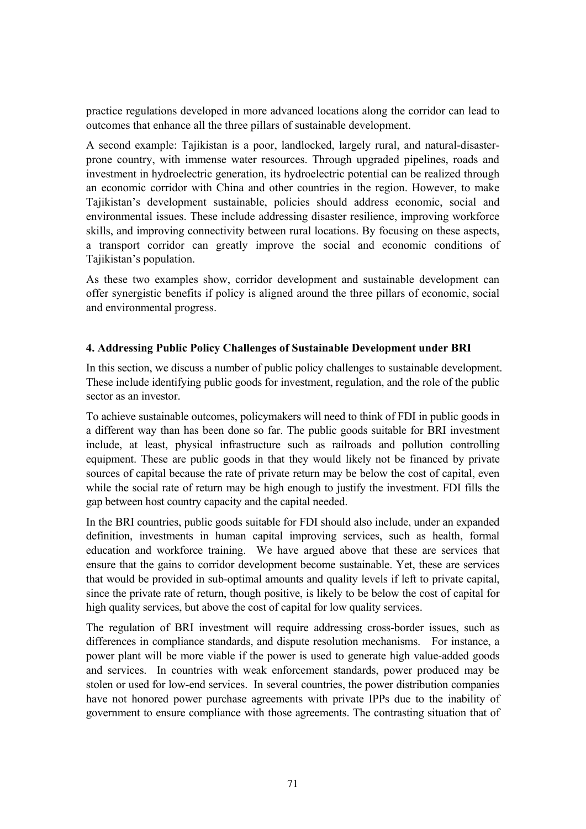practice regulations developed in more advanced locations along the corridor can lead to outcomes that enhance all the three pillars of sustainable development.

A second example: Tajikistan is a poor, landlocked, largely rural, and natural-disasterprone country, with immense water resources. Through upgraded pipelines, roads and investment in hydroelectric generation, its hydroelectric potential can be realized through an economic corridor with China and other countries in the region. However, to make Tajikistan's development sustainable, policies should address economic, social and environmental issues. These include addressing disaster resilience, improving workforce skills, and improving connectivity between rural locations. By focusing on these aspects, a transport corridor can greatly improve the social and economic conditions of Tajikistan's population.

As these two examples show, corridor development and sustainable development can offer synergistic benefits if policy is aligned around the three pillars of economic, social and environmental progress.

# **4. Addressing Public Policy Challenges of Sustainable Development under BRI**

In this section, we discuss a number of public policy challenges to sustainable development. These include identifying public goods for investment, regulation, and the role of the public sector as an investor.

To achieve sustainable outcomes, policymakers will need to think of FDI in public goods in a different way than has been done so far. The public goods suitable for BRI investment include, at least, physical infrastructure such as railroads and pollution controlling equipment. These are public goods in that they would likely not be financed by private sources of capital because the rate of private return may be below the cost of capital, even while the social rate of return may be high enough to justify the investment. FDI fills the gap between host country capacity and the capital needed.

In the BRI countries, public goods suitable for FDI should also include, under an expanded definition, investments in human capital improving services, such as health, formal education and workforce training. We have argued above that these are services that ensure that the gains to corridor development become sustainable. Yet, these are services that would be provided in sub-optimal amounts and quality levels if left to private capital, since the private rate of return, though positive, is likely to be below the cost of capital for high quality services, but above the cost of capital for low quality services.

The regulation of BRI investment will require addressing cross-border issues, such as differences in compliance standards, and dispute resolution mechanisms. For instance, a power plant will be more viable if the power is used to generate high value-added goods and services. In countries with weak enforcement standards, power produced may be stolen or used for low-end services. In several countries, the power distribution companies have not honored power purchase agreements with private IPPs due to the inability of government to ensure compliance with those agreements. The contrasting situation that of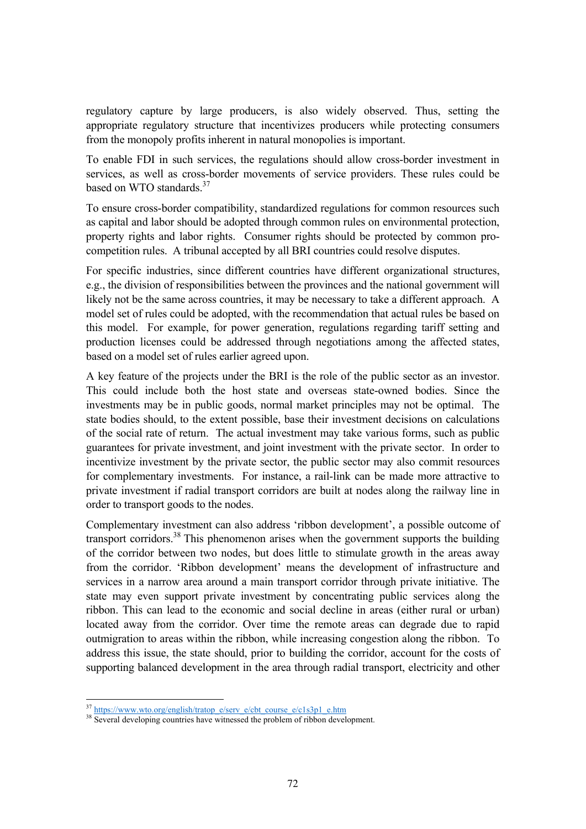regulatory capture by large producers, is also widely observed. Thus, setting the appropriate regulatory structure that incentivizes producers while protecting consumers from the monopoly profits inherent in natural monopolies is important.

To enable FDI in such services, the regulations should allow cross-border investment in services, as well as cross-border movements of service providers. These rules could be based on WTO standards.<sup>37</sup>

To ensure cross-border compatibility, standardized regulations for common resources such as capital and labor should be adopted through common rules on environmental protection, property rights and labor rights. Consumer rights should be protected by common procompetition rules. A tribunal accepted by all BRI countries could resolve disputes.

For specific industries, since different countries have different organizational structures, e.g., the division of responsibilities between the provinces and the national government will likely not be the same across countries, it may be necessary to take a different approach. A model set of rules could be adopted, with the recommendation that actual rules be based on this model. For example, for power generation, regulations regarding tariff setting and production licenses could be addressed through negotiations among the affected states, based on a model set of rules earlier agreed upon.

A key feature of the projects under the BRI is the role of the public sector as an investor. This could include both the host state and overseas state-owned bodies. Since the investments may be in public goods, normal market principles may not be optimal. The state bodies should, to the extent possible, base their investment decisions on calculations of the social rate of return. The actual investment may take various forms, such as public guarantees for private investment, and joint investment with the private sector. In order to incentivize investment by the private sector, the public sector may also commit resources for complementary investments. For instance, a rail-link can be made more attractive to private investment if radial transport corridors are built at nodes along the railway line in order to transport goods to the nodes.

Complementary investment can also address 'ribbon development', a possible outcome of transport corridors.38 This phenomenon arises when the government supports the building of the corridor between two nodes, but does little to stimulate growth in the areas away from the corridor. 'Ribbon development' means the development of infrastructure and services in a narrow area around a main transport corridor through private initiative. The state may even support private investment by concentrating public services along the ribbon. This can lead to the economic and social decline in areas (either rural or urban) located away from the corridor. Over time the remote areas can degrade due to rapid outmigration to areas within the ribbon, while increasing congestion along the ribbon. To address this issue, the state should, prior to building the corridor, account for the costs of supporting balanced development in the area through radial transport, electricity and other

  $\frac{37 \text{ https://www.wto.org/english/tratop } e\text{/serv } e\text{/cbt} \text{ course } e\text{/c1s3pl } e\text{.htm}}{38 \text{ Several developing countries have witnessed the problem of ribbon development.}}$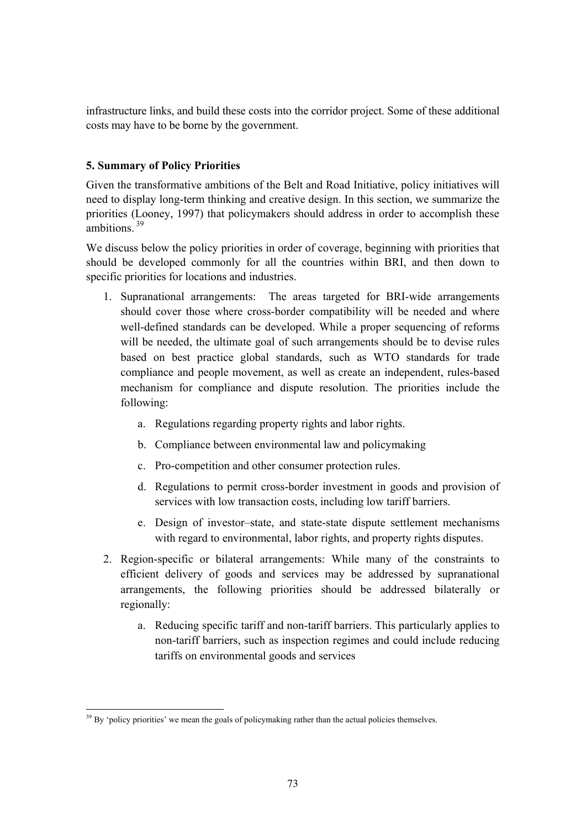infrastructure links, and build these costs into the corridor project. Some of these additional costs may have to be borne by the government.

# **5. Summary of Policy Priorities**

Given the transformative ambitions of the Belt and Road Initiative, policy initiatives will need to display long-term thinking and creative design. In this section, we summarize the priorities (Looney, 1997) that policymakers should address in order to accomplish these ambitions<sup>39</sup>

We discuss below the policy priorities in order of coverage, beginning with priorities that should be developed commonly for all the countries within BRI, and then down to specific priorities for locations and industries.

- 1. Supranational arrangements: The areas targeted for BRI-wide arrangements should cover those where cross-border compatibility will be needed and where well-defined standards can be developed. While a proper sequencing of reforms will be needed, the ultimate goal of such arrangements should be to devise rules based on best practice global standards, such as WTO standards for trade compliance and people movement, as well as create an independent, rules-based mechanism for compliance and dispute resolution. The priorities include the following:
	- a. Regulations regarding property rights and labor rights.
	- b. Compliance between environmental law and policymaking
	- c. Pro-competition and other consumer protection rules.
	- d. Regulations to permit cross-border investment in goods and provision of services with low transaction costs, including low tariff barriers.
	- e. Design of investor–state, and state-state dispute settlement mechanisms with regard to environmental, labor rights, and property rights disputes.
- 2. Region-specific or bilateral arrangements: While many of the constraints to efficient delivery of goods and services may be addressed by supranational arrangements, the following priorities should be addressed bilaterally or regionally:
	- a. Reducing specific tariff and non-tariff barriers. This particularly applies to non-tariff barriers, such as inspection regimes and could include reducing tariffs on environmental goods and services

  $39\,\text{By }$  'policy priorities' we mean the goals of policymaking rather than the actual policies themselves.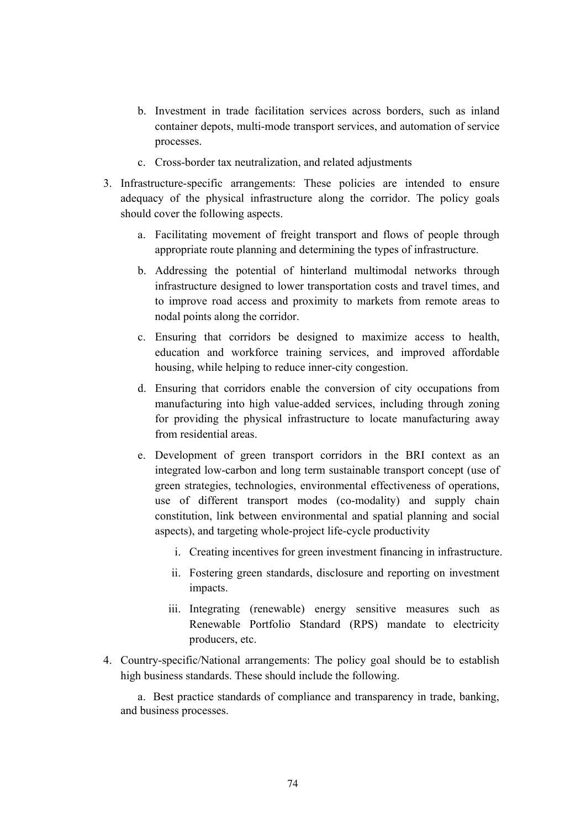- b. Investment in trade facilitation services across borders, such as inland container depots, multi-mode transport services, and automation of service processes.
- c. Cross-border tax neutralization, and related adjustments
- 3. Infrastructure-specific arrangements: These policies are intended to ensure adequacy of the physical infrastructure along the corridor. The policy goals should cover the following aspects.
	- a. Facilitating movement of freight transport and flows of people through appropriate route planning and determining the types of infrastructure.
	- b. Addressing the potential of hinterland multimodal networks through infrastructure designed to lower transportation costs and travel times, and to improve road access and proximity to markets from remote areas to nodal points along the corridor.
	- c. Ensuring that corridors be designed to maximize access to health, education and workforce training services, and improved affordable housing, while helping to reduce inner-city congestion.
	- d. Ensuring that corridors enable the conversion of city occupations from manufacturing into high value-added services, including through zoning for providing the physical infrastructure to locate manufacturing away from residential areas.
	- e. Development of green transport corridors in the BRI context as an integrated low-carbon and long term sustainable transport concept (use of green strategies, technologies, environmental effectiveness of operations, use of different transport modes (co-modality) and supply chain constitution, link between environmental and spatial planning and social aspects), and targeting whole-project life-cycle productivity
		- i. Creating incentives for green investment financing in infrastructure.
		- ii. Fostering green standards, disclosure and reporting on investment impacts.
		- iii. Integrating (renewable) energy sensitive measures such as Renewable Portfolio Standard (RPS) mandate to electricity producers, etc.
- 4. Country-specific/National arrangements: The policy goal should be to establish high business standards. These should include the following.

a. Best practice standards of compliance and transparency in trade, banking, and business processes.